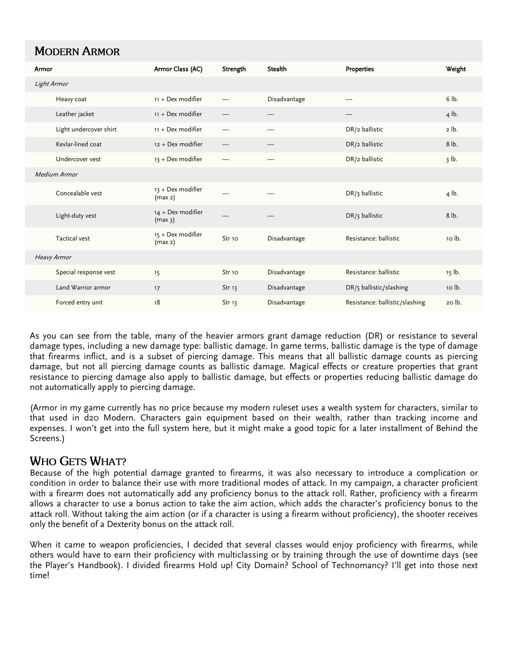## **MODERN ARMOR**

| Armor              |                        | Armor Class (AC)                         | Strength          | <b>Stealth</b> | <b>Properties</b>              | Weight   |  |
|--------------------|------------------------|------------------------------------------|-------------------|----------------|--------------------------------|----------|--|
| Light Armor        |                        |                                          |                   |                |                                |          |  |
|                    | Heavy coat             | 11 + Dex modifier                        |                   | Disadvantage   |                                | 6 lb.    |  |
|                    | Leather jacket         | 11 + Dex modifier                        | —                 |                |                                | 4 lb.    |  |
|                    | Light undercover shirt | 11 + Dex modifier                        |                   |                | DR/2 ballistic                 | 2 lb.    |  |
|                    | Kevlar-lined coat      | 12 + Dex modifier                        |                   |                | DR/2 ballistic                 | $8$ lb.  |  |
|                    | Undercover vest        | 13 + Dex modifier                        |                   |                | DR/2 ballistic                 | $3$ lb.  |  |
| Medium Armor       |                        |                                          |                   |                |                                |          |  |
|                    | Concealable vest       | 13 + Dex modifier<br>(max 2)             |                   |                | DR/3 ballistic                 | 4 lb.    |  |
|                    | Light-duty vest        | 14 + Dex modifier<br>(max <sub>3</sub> ) |                   |                | DR/3 ballistic                 | 8 lb.    |  |
|                    | <b>Tactical vest</b>   | 15 + Dex modifier<br>(max 2)             | Str <sub>10</sub> | Disadvantage   | Resistance: ballistic          | 10 lb.   |  |
| <b>Heavy Armor</b> |                        |                                          |                   |                |                                |          |  |
|                    | Special response vest  | 15                                       | Str <sub>10</sub> | Disadvantage   | Resistance: ballistic          | $15$ lb. |  |
|                    | Land Warrior armor     | 17                                       | Str <sub>13</sub> | Disadvantage   | DR/5 ballistic/slashing        | 10 lb.   |  |
|                    | Forced entry unit      | 18                                       | Str <sub>13</sub> | Disadvantage   | Resistance: ballistic/slashing | 20 lb.   |  |

As you can see from the table, many of the heavier armors grant damage reduction (DR) or resistance to several damage types, including a new damage type: ballistic damage. In game terms, ballistic damage is the type of damage that firearms inflict, and is a subset of piercing damage. This means that all ballistic damage counts as piercing damage, but not all piercing damage counts as ballistic damage. Magical effects or creature properties that grant resistance to piercing damage also apply to ballistic damage, but effects or properties reducing ballistic damage do not automatically apply to piercing damage.

(Armor in my game currently has no price because my modern ruleset uses a wealth system for characters, similar to that used in d20 Modern. Characters gain equipment based on their wealth, rather than tracking income and expenses. I won't get into the full system here, but it might make a good topic for a later installment of Behind the Screens.)

## **WHO GETS WHAT?**

Because of the high potential damage granted to firearms, it was also necessary to introduce a complication or condition in order to balance their use with more traditional modes of attack. In my campaign, a character proficient with a firearm does not automatically add any proficiency bonus to the attack roll. Rather, proficiency with a firearm allows a character to use a bonus action to take the aim action, which adds the character's proficiency bonus to the attack roll. Without taking the aim action (or if a character is using a firearm without proficiency), the shooter receives only the benefit of a Dexterity bonus on the attack roll.

When it came to weapon proficiencies, I decided that several classes would enjoy proficiency with firearms, while others would have to earn their proficiency with multiclassing or by training through the use of downtime days (see the Player's Handbook). I divided firearms Hold up! City Domain? School of Technomancy? I'll get into those next time!